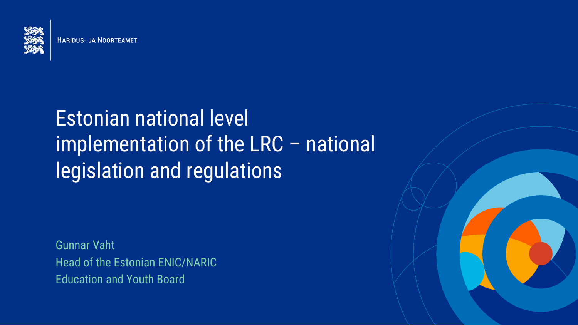

**HARIDUS- JA NOORTEAMET** 

## Estonian national level implementation of the LRC – national legislation and regulations

Gunnar Vaht Head of the Estonian ENIC/NARIC Education and Youth Board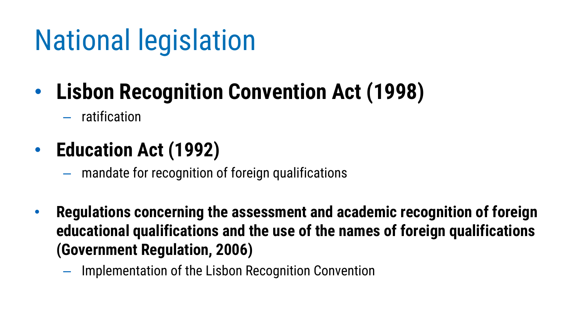# National legislation

## • **Lisbon Recognition Convention Act (1998)**

– ratification

#### • **Education Act (1992)**

- mandate for recognition of foreign qualifications
- **Regulations concerning the assessment and academic recognition of foreign educational qualifications and the use of the names of foreign qualifications (Government Regulation, 2006)**
	- Implementation of the Lisbon Recognition Convention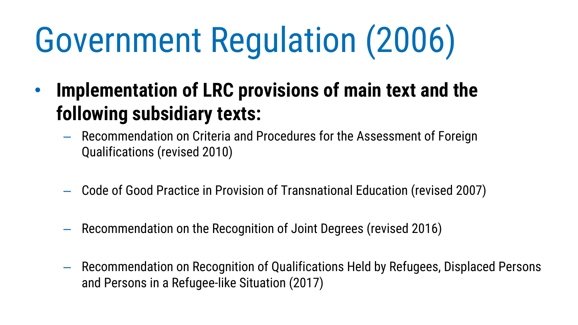- **Implementation of LRC provisions of main text and the following subsidiary texts:**
	- Recommendation on Criteria and Procedures for the Assessment of Foreign Qualifications (revised 2010)
	- Code of Good Practice in Provision of Transnational Education (revised 2007)
	- Recommendation on the Recognition of Joint Degrees (revised 2016)
	- Recommendation on Recognition of Qualifications Held by Refugees, Displaced Persons and Persons in a Refugee-like Situation (2017)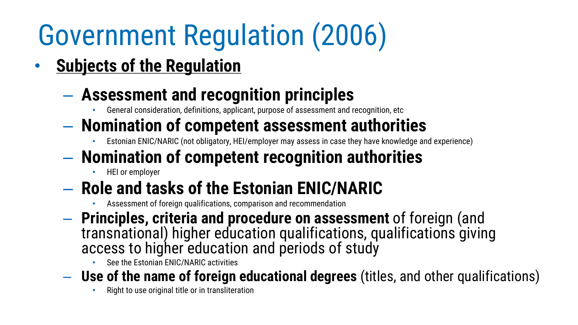• **Subjects of the Regulation**

#### – **Assessment and recognition principles**

- General consideration, definitions, applicant, purpose of assessment and recognition, etc
- **Nomination of competent assessment authorities**
	- Estonian ENIC/NARIC (not obligatory, HEI/employer may assess in case they have knowledge and experience)
- **Nomination of competent recognition authorities**
	- HEI or employer
- **Role and tasks of the Estonian ENIC/NARIC**
	- Assessment of foreign qualifications, comparison and recommendation
- **Principles, criteria and procedure on assessment** of foreign (and transnational) higher education qualifications, qualifications giving access to higher education and periods of study
	- See the Estonian ENIC/NARIC activities
- **Use of the name of foreign educational degrees** (titles, and other qualifications)
	- Right to use original title or in transliteration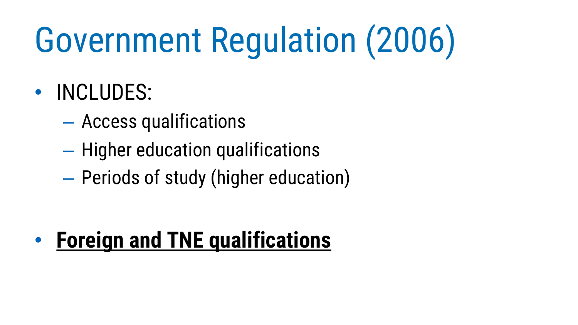## • INCLUDES:

- Access qualifications
- Higher education qualifications
- Periods of study (higher education)

• **Foreign and TNE qualifications**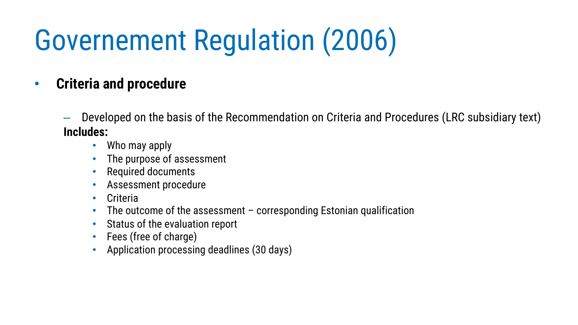#### • **Criteria and procedure**

- Developed on the basis of the Recommendation on Criteria and Procedures (LRC subsidiary text) **Includes:**
	- Who may apply
	- The purpose of assessment
	- Required documents
	- Assessment procedure
	- Criteria
	- The outcome of the assessment  $-$  corresponding Estonian qualification
	- Status of the evaluation report
	- Fees (free of charge)
	- Application processing deadlines (30 days)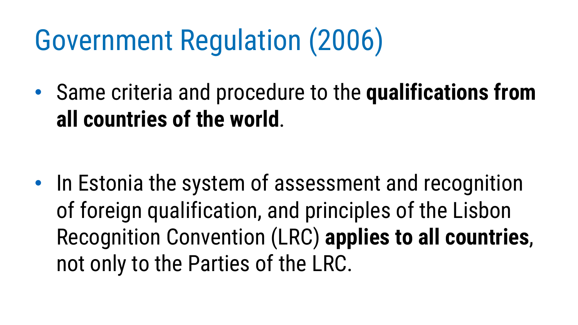• Same criteria and procedure to the **qualifications from all countries of the world**.

• In Estonia the system of assessment and recognition of foreign qualification, and principles of the Lisbon Recognition Convention (LRC) **applies to all countries**, not only to the Parties of the LRC.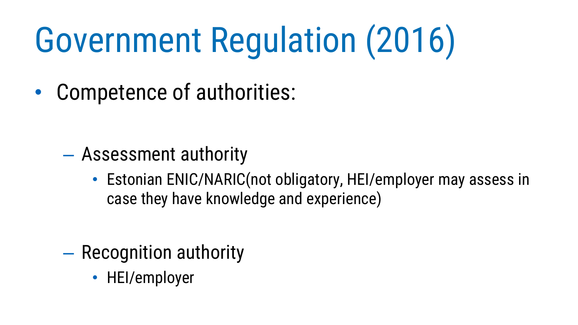• Competence of authorities:

- Assessment authority
	- Estonian ENIC/NARIC(not obligatory, HEI/employer may assess in case they have knowledge and experience)

- Recognition authority
	- HEI/employer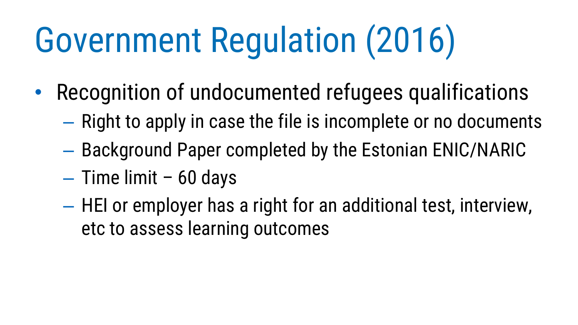- Recognition of undocumented refugees qualifications
	- Right to apply in case the file is incomplete or no documents
	- Background Paper completed by the Estonian ENIC/NARIC
	- Time limit 60 days
	- HEI or employer has a right for an additional test, interview, etc to assess learning outcomes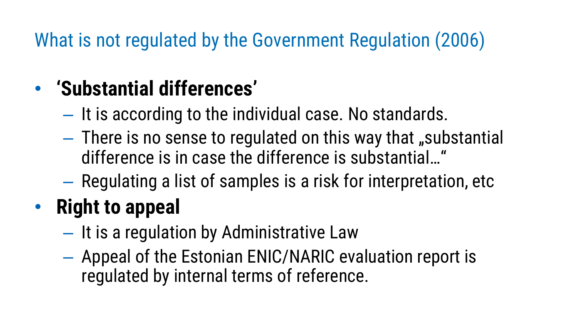What is not regulated by the Government Regulation (2006)

#### • **'Substantial differences'**

- It is according to the individual case. No standards.
- $-$  There is no sense to regulated on this way that "substantial difference is in case the difference is substantial…"
- Regulating a list of samples is a risk for interpretation, etc

## • **Right to appeal**

- It is a regulation by Administrative Law
- Appeal of the Estonian ENIC/NARIC evaluation report is regulated by internal terms of reference.